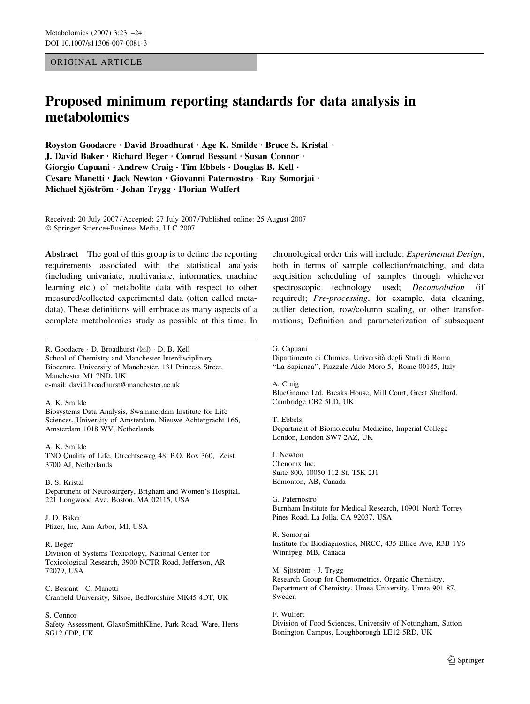# ORIGINAL ARTICLE

# Proposed minimum reporting standards for data analysis in metabolomics

Royston Goodacre · David Broadhurst · Age K. Smilde · Bruce S. Kristal · J. David Baker · Richard Beger · Conrad Bessant · Susan Connor · Giorgio Capuani · Andrew Craig · Tim Ebbels · Douglas B. Kell · Cesare Manetti · Jack Newton · Giovanni Paternostro · Ray Somorjai · Michael Sjöström · Johan Trygg · Florian Wulfert

Received: 20 July 2007 / Accepted: 27 July 2007 / Published online: 25 August 2007 Springer Science+Business Media, LLC 2007

Abstract The goal of this group is to define the reporting requirements associated with the statistical analysis (including univariate, multivariate, informatics, machine learning etc.) of metabolite data with respect to other measured/collected experimental data (often called metadata). These definitions will embrace as many aspects of a complete metabolomics study as possible at this time. In

R. Goodacre · D. Broadhurst ( $\boxtimes$ ) · D. B. Kell School of Chemistry and Manchester Interdisciplinary Biocentre, University of Manchester, 131 Princess Street, Manchester M1 7ND, UK e-mail: david.broadhurst@manchester.ac.uk

#### A. K. Smilde

Biosystems Data Analysis, Swammerdam Institute for Life Sciences, University of Amsterdam, Nieuwe Achtergracht 166, Amsterdam 1018 WV, Netherlands

A. K. Smilde TNO Quality of Life, Utrechtseweg 48, P.O. Box 360, Zeist 3700 AJ, Netherlands

#### B. S. Kristal

Department of Neurosurgery, Brigham and Women's Hospital, 221 Longwood Ave, Boston, MA 02115, USA

#### J. D. Baker Pfizer, Inc, Ann Arbor, MI, USA

#### R. Beger

Division of Systems Toxicology, National Center for Toxicological Research, 3900 NCTR Road, Jefferson, AR 72079, USA

C. Bessant · C. Manetti Cranfield University, Silsoe, Bedfordshire MK45 4DT, UK

S. Connor Safety Assessment, GlaxoSmithKline, Park Road, Ware, Herts SG12 0DP, UK

chronological order this will include: Experimental Design, both in terms of sample collection/matching, and data acquisition scheduling of samples through whichever spectroscopic technology used; *Deconvolution* (if required); Pre-processing, for example, data cleaning, outlier detection, row/column scaling, or other transformations; Definition and parameterization of subsequent

G. Capuani

Dipartimento di Chimica, Universita` degli Studi di Roma ''La Sapienza'', Piazzale Aldo Moro 5, Rome 00185, Italy

#### A. Craig

BlueGnome Ltd, Breaks House, Mill Court, Great Shelford, Cambridge CB2 5LD, UK

T. Ebbels Department of Biomolecular Medicine, Imperial College London, London SW7 2AZ, UK

J. Newton Chenomx Inc, Suite 800, 10050 112 St, T5K 2J1 Edmonton, AB, Canada

G. Paternostro Burnham Institute for Medical Research, 10901 North Torrey Pines Road, La Jolla, CA 92037, USA

R. Somorjai Institute for Biodiagnostics, NRCC, 435 Ellice Ave, R3B 1Y6 Winnipeg, MB, Canada

M. Sjöström · J. Trygg Research Group for Chemometrics, Organic Chemistry, Department of Chemistry, Umeå University, Umea 901 87, Sweden

F. Wulfert Division of Food Sciences, University of Nottingham, Sutton Bonington Campus, Loughborough LE12 5RD, UK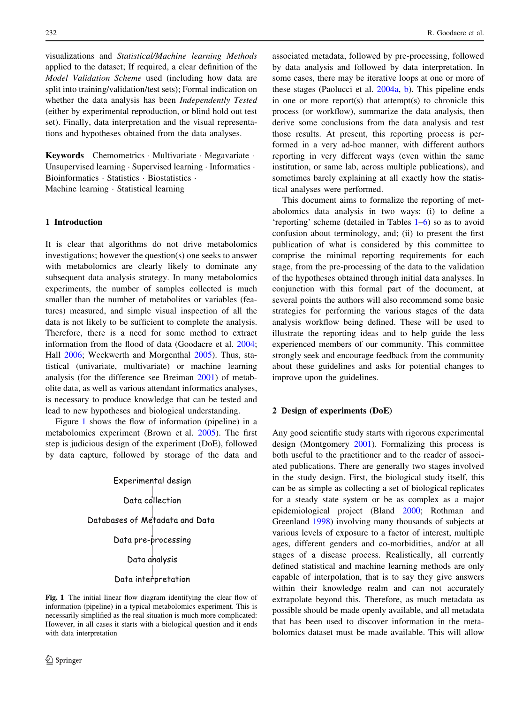visualizations and Statistical/Machine learning Methods applied to the dataset; If required, a clear definition of the Model Validation Scheme used (including how data are split into training/validation/test sets); Formal indication on whether the data analysis has been Independently Tested (either by experimental reproduction, or blind hold out test set). Finally, data interpretation and the visual representations and hypotheses obtained from the data analyses.

Keywords Chemometrics Multivariate Megavariate Unsupervised learning  $\cdot$  Supervised learning  $\cdot$  Informatics  $\cdot$ Bioinformatics · Statistics · Biostatistics · Machine learning · Statistical learning

# 1 Introduction

It is clear that algorithms do not drive metabolomics investigations; however the question(s) one seeks to answer with metabolomics are clearly likely to dominate any subsequent data analysis strategy. In many metabolomics experiments, the number of samples collected is much smaller than the number of metabolites or variables (features) measured, and simple visual inspection of all the data is not likely to be sufficient to complete the analysis. Therefore, there is a need for some method to extract information from the flood of data (Goodacre et al. [2004](#page-9-0); Hall [2006](#page-9-0); Weckwerth and Morgenthal [2005](#page-10-0)). Thus, statistical (univariate, multivariate) or machine learning analysis (for the difference see Breiman [2001\)](#page-9-0) of metabolite data, as well as various attendant informatics analyses, is necessary to produce knowledge that can be tested and lead to new hypotheses and biological understanding.

Figure 1 shows the flow of information (pipeline) in a metabolomics experiment (Brown et al. [2005\)](#page-9-0). The first step is judicious design of the experiment (DoE), followed by data capture, followed by storage of the data and

> Experimental design Data collection Databases of Metadata and Data Data pre-processing Data analysis Data interpretation

associated metadata, followed by pre-processing, followed by data analysis and followed by data interpretation. In some cases, there may be iterative loops at one or more of these stages (Paolucci et al. [2004a](#page-10-0), [b](#page-10-0)). This pipeline ends in one or more report(s) that attempt(s) to chronicle this process (or workflow), summarize the data analysis, then derive some conclusions from the data analysis and test those results. At present, this reporting process is performed in a very ad-hoc manner, with different authors reporting in very different ways (even within the same institution, or same lab, across multiple publications), and sometimes barely explaining at all exactly how the statistical analyses were performed.

This document aims to formalize the reporting of metabolomics data analysis in two ways: (i) to define a 'reporting' scheme (detailed in Tables 1–6) so as to avoid confusion about terminology, and; (ii) to present the first publication of what is considered by this committee to comprise the minimal reporting requirements for each stage, from the pre-processing of the data to the validation of the hypotheses obtained through initial data analyses. In conjunction with this formal part of the document, at several points the authors will also recommend some basic strategies for performing the various stages of the data analysis workflow being defined. These will be used to illustrate the reporting ideas and to help guide the less experienced members of our community. This committee strongly seek and encourage feedback from the community about these guidelines and asks for potential changes to improve upon the guidelines.

# 2 Design of experiments (DoE)

Any good scientific study starts with rigorous experimental design (Montgomery [2001\)](#page-10-0). Formalizing this process is both useful to the practitioner and to the reader of associated publications. There are generally two stages involved in the study design. First, the biological study itself, this can be as simple as collecting a set of biological replicates for a steady state system or be as complex as a major epidemiological project (Bland [2000;](#page-9-0) Rothman and Greenland [1998](#page-10-0)) involving many thousands of subjects at various levels of exposure to a factor of interest, multiple ages, different genders and co-morbidities, and/or at all stages of a disease process. Realistically, all currently defined statistical and machine learning methods are only capable of interpolation, that is to say they give answers within their knowledge realm and can not accurately extrapolate beyond this. Therefore, as much metadata as possible should be made openly available, and all metadata that has been used to discover information in the metabolomics dataset must be made available. This will allow

Fig. 1 The initial linear flow diagram identifying the clear flow of information (pipeline) in a typical metabolomics experiment. This is necessarily simplified as the real situation is much more complicated: However, in all cases it starts with a biological question and it ends with data interpretation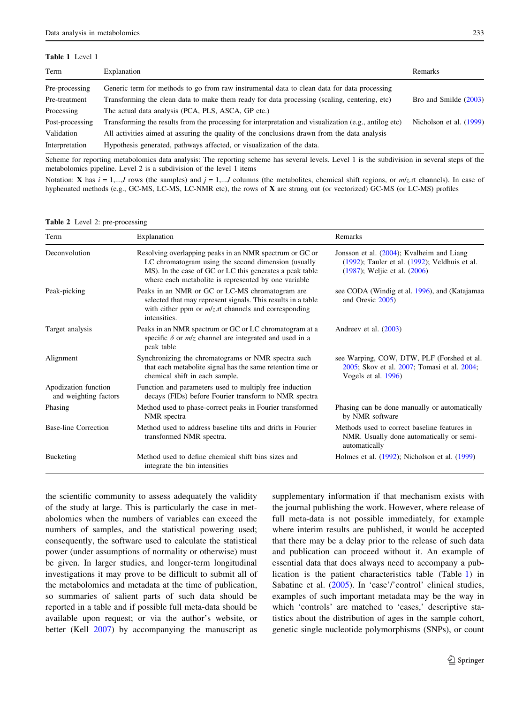Table 1 Level 1

| Term            | Explanation                                                                                           | Remarks                 |
|-----------------|-------------------------------------------------------------------------------------------------------|-------------------------|
| Pre-processing  | Generic term for methods to go from raw instrumental data to clean data for data processing           |                         |
| Pre-treatment   | Transforming the clean data to make them ready for data processing (scaling, centering, etc)          | Bro and Smilde (2003)   |
| Processing      | The actual data analysis (PCA, PLS, ASCA, GP etc.)                                                    |                         |
| Post-processing | Transforming the results from the processing for interpretation and visualization (e.g., antilog etc) | Nicholson et al. (1999) |
| Validation      | All activities aimed at assuring the quality of the conclusions drawn from the data analysis          |                         |
| Interpretation  | Hypothesis generated, pathways affected, or visualization of the data.                                |                         |

Scheme for reporting metabolomics data analysis: The reporting scheme has several levels. Level 1 is the subdivision in several steps of the metabolomics pipeline. Level 2 is a subdivision of the level 1 items

Notation: X has  $i = 1,...,I$  rows (the samples) and  $j = 1,...J$  columns (the metabolites, chemical shift regions, or  $m/z$  rt channels). In case of hyphenated methods (e.g., GC-MS, LC-MS, LC-NMR etc), the rows of X are strung out (or vectorized) GC-MS (or LC-MS) profiles

Table 2 Level 2: pre-processing

| Term                                          | Explanation                                                                                                                                                                                                                        | Remarks                                                                                                                                  |
|-----------------------------------------------|------------------------------------------------------------------------------------------------------------------------------------------------------------------------------------------------------------------------------------|------------------------------------------------------------------------------------------------------------------------------------------|
| Deconvolution                                 | Resolving overlapping peaks in an NMR spectrum or GC or<br>LC chromatogram using the second dimension (usually<br>MS). In the case of GC or LC this generates a peak table<br>where each metabolite is represented by one variable | Jonsson et al. $(2004)$ ; Kvalheim and Liang<br>$(1992)$ ; Tauler et al. $(1992)$ ; Veldhuis et al.<br>$(1987)$ ; Weljie et al. $(2006)$ |
| Peak-picking                                  | Peaks in an NMR or GC or LC-MS chromatogram are<br>selected that may represent signals. This results in a table<br>with either ppm or $m/z$ .rt channels and corresponding<br>intensities.                                         | see CODA (Windig et al. 1996), and (Katajamaa<br>and Oresic 2005)                                                                        |
| Target analysis                               | Peaks in an NMR spectrum or GC or LC chromatogram at a<br>specific $\delta$ or $m/z$ channel are integrated and used in a<br>peak table                                                                                            | Andreev et al. $(2003)$                                                                                                                  |
| Alignment                                     | Synchronizing the chromatograms or NMR spectra such<br>that each metabolite signal has the same retention time or<br>chemical shift in each sample.                                                                                | see Warping, COW, DTW, PLF (Forshed et al.<br>2005; Skov et al. 2007; Tomasi et al. 2004;<br>Vogels et al. $1996$                        |
| Apodization function<br>and weighting factors | Function and parameters used to multiply free induction<br>decays (FIDs) before Fourier transform to NMR spectra                                                                                                                   |                                                                                                                                          |
| Phasing                                       | Method used to phase-correct peaks in Fourier transformed<br>NMR spectra                                                                                                                                                           | Phasing can be done manually or automatically<br>by NMR software                                                                         |
| Base-line Correction                          | Method used to address baseline tilts and drifts in Fourier<br>transformed NMR spectra.                                                                                                                                            | Methods used to correct baseline features in<br>NMR. Usually done automatically or semi-<br>automatically                                |
| <b>Bucketing</b>                              | Method used to define chemical shift bins sizes and<br>integrate the bin intensities                                                                                                                                               | Holmes et al. $(1992)$ ; Nicholson et al. $(1999)$                                                                                       |

the scientific community to assess adequately the validity of the study at large. This is particularly the case in metabolomics when the numbers of variables can exceed the numbers of samples, and the statistical powering used; consequently, the software used to calculate the statistical power (under assumptions of normality or otherwise) must be given. In larger studies, and longer-term longitudinal investigations it may prove to be difficult to submit all of the metabolomics and metadata at the time of publication, so summaries of salient parts of such data should be reported in a table and if possible full meta-data should be available upon request; or via the author's website, or better (Kell [2007](#page-9-0)) by accompanying the manuscript as supplementary information if that mechanism exists with the journal publishing the work. However, where release of full meta-data is not possible immediately, for example where interim results are published, it would be accepted that there may be a delay prior to the release of such data and publication can proceed without it. An example of essential data that does always need to accompany a publication is the patient characteristics table (Table 1) in Sabatine et al. ([2005\)](#page-10-0). In 'case'/'control' clinical studies, examples of such important metadata may be the way in which 'controls' are matched to 'cases,' descriptive statistics about the distribution of ages in the sample cohort, genetic single nucleotide polymorphisms (SNPs), or count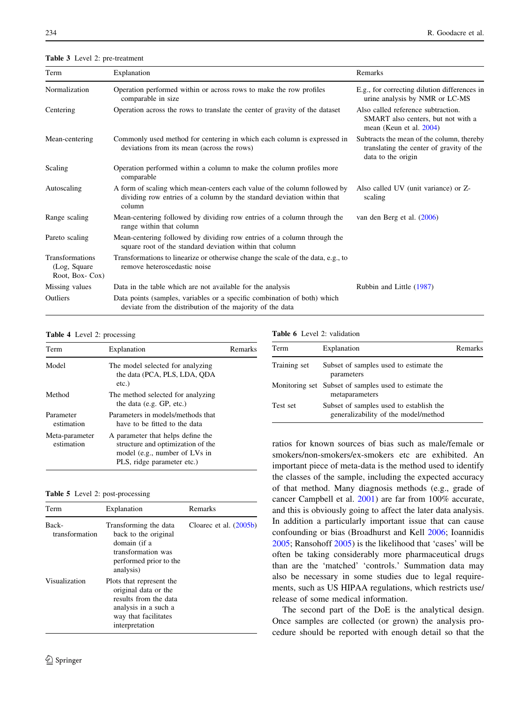Table 3 Level 2: pre-treatment

| Term                                               | Explanation                                                                                                                                                   | Remarks                                                                                                     |
|----------------------------------------------------|---------------------------------------------------------------------------------------------------------------------------------------------------------------|-------------------------------------------------------------------------------------------------------------|
| Normalization                                      | Operation performed within or across rows to make the row profiles<br>comparable in size                                                                      | E.g., for correcting dilution differences in<br>urine analysis by NMR or LC-MS                              |
| Centering                                          | Operation across the rows to translate the center of gravity of the dataset                                                                                   | Also called reference subtraction.<br>SMART also centers, but not with a<br>mean (Keun et al. 2004)         |
| Mean-centering                                     | Commonly used method for centering in which each column is expressed in<br>deviations from its mean (across the rows)                                         | Subtracts the mean of the column, thereby<br>translating the center of gravity of the<br>data to the origin |
| Scaling                                            | Operation performed within a column to make the column profiles more<br>comparable                                                                            |                                                                                                             |
| Autoscaling                                        | A form of scaling which mean-centers each value of the column followed by<br>dividing row entries of a column by the standard deviation within that<br>column | Also called UV (unit variance) or Z-<br>scaling                                                             |
| Range scaling                                      | Mean-centering followed by dividing row entries of a column through the<br>range within that column                                                           | van den Berg et al. (2006)                                                                                  |
| Pareto scaling                                     | Mean-centering followed by dividing row entries of a column through the<br>square root of the standard deviation within that column                           |                                                                                                             |
| Transformations<br>(Log, Square)<br>Root, Box-Cox) | Transformations to linearize or otherwise change the scale of the data, e.g., to<br>remove heteroscedastic noise                                              |                                                                                                             |
| Missing values                                     | Data in the table which are not available for the analysis                                                                                                    | Rubbin and Little (1987)                                                                                    |
| Outliers                                           | Data points (samples, variables or a specific combination of both) which<br>deviate from the distribution of the majority of the data                         |                                                                                                             |

## Table 4 Level 2: processing

| Term                         | Explanation                                                                                                                           | Remarks |
|------------------------------|---------------------------------------------------------------------------------------------------------------------------------------|---------|
| Model                        | The model selected for analyzing<br>the data (PCA, PLS, LDA, QDA<br>$etc.$ )                                                          |         |
| Method                       | The method selected for analyzing<br>the data (e.g. $GP$ , etc.)                                                                      |         |
| Parameter<br>estimation      | Parameters in models/methods that<br>have to be fitted to the data                                                                    |         |
| Meta-parameter<br>estimation | A parameter that helps define the<br>structure and optimization of the<br>model (e.g., number of LVs in<br>PLS, ridge parameter etc.) |         |

### Table 5 Level 2: post-processing

| Term                    | Explanation                                                                                                                                 | Remarks                  |
|-------------------------|---------------------------------------------------------------------------------------------------------------------------------------------|--------------------------|
| Back-<br>transformation | Transforming the data<br>back to the original<br>domain (if a<br>transformation was<br>performed prior to the<br>analysis)                  | Cloarec et al. $(2005b)$ |
| Visualization           | Plots that represent the<br>original data or the<br>results from the data<br>analysis in a such a<br>way that facilitates<br>interpretation |                          |

Table 6 Level 2: validation

| Term         | Explanation                                                                     | <b>Remarks</b> |
|--------------|---------------------------------------------------------------------------------|----------------|
| Training set | Subset of samples used to estimate the<br>parameters                            |                |
|              | Monitoring set Subset of samples used to estimate the<br>metaparameters         |                |
| Test set     | Subset of samples used to establish the<br>generalizability of the model/method |                |

ratios for known sources of bias such as male/female or smokers/non-smokers/ex-smokers etc are exhibited. An important piece of meta-data is the method used to identify the classes of the sample, including the expected accuracy of that method. Many diagnosis methods (e.g., grade of cancer Campbell et al. [2001\)](#page-9-0) are far from 100% accurate, and this is obviously going to affect the later data analysis. In addition a particularly important issue that can cause confounding or bias (Broadhurst and Kell [2006;](#page-9-0) Ioannidis [2005](#page-9-0); Ransohoff [2005\)](#page-10-0) is the likelihood that 'cases' will be often be taking considerably more pharmaceutical drugs than are the 'matched' 'controls.' Summation data may also be necessary in some studies due to legal requirements, such as US HIPAA regulations, which restricts use/ release of some medical information.

The second part of the DoE is the analytical design. Once samples are collected (or grown) the analysis procedure should be reported with enough detail so that the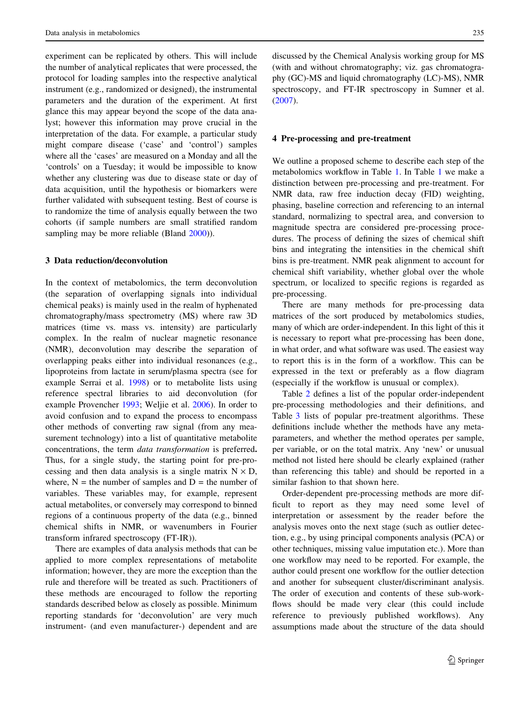experiment can be replicated by others. This will include the number of analytical replicates that were processed, the protocol for loading samples into the respective analytical instrument (e.g., randomized or designed), the instrumental parameters and the duration of the experiment. At first glance this may appear beyond the scope of the data analyst; however this information may prove crucial in the interpretation of the data. For example, a particular study might compare disease ('case' and 'control') samples where all the 'cases' are measured on a Monday and all the 'controls' on a Tuesday; it would be impossible to know whether any clustering was due to disease state or day of data acquisition, until the hypothesis or biomarkers were further validated with subsequent testing. Best of course is to randomize the time of analysis equally between the two cohorts (if sample numbers are small stratified random sampling may be more reliable (Bland [2000](#page-9-0))).

## 3 Data reduction/deconvolution

In the context of metabolomics, the term deconvolution (the separation of overlapping signals into individual chemical peaks) is mainly used in the realm of hyphenated chromatography/mass spectrometry (MS) where raw 3D matrices (time vs. mass vs. intensity) are particularly complex. In the realm of nuclear magnetic resonance (NMR), deconvolution may describe the separation of overlapping peaks either into individual resonances (e.g., lipoproteins from lactate in serum/plasma spectra (see for example Serrai et al. [1998](#page-10-0)) or to metabolite lists using reference spectral libraries to aid deconvolution (for example Provencher [1993;](#page-10-0) Weljie et al. [2006\)](#page-10-0). In order to avoid confusion and to expand the process to encompass other methods of converting raw signal (from any measurement technology) into a list of quantitative metabolite concentrations, the term data transformation is preferred. Thus, for a single study, the starting point for pre-processing and then data analysis is a single matrix  $N \times D$ , where,  $N =$  the number of samples and  $D =$  the number of variables. These variables may, for example, represent actual metabolites, or conversely may correspond to binned regions of a continuous property of the data (e.g., binned chemical shifts in NMR, or wavenumbers in Fourier transform infrared spectroscopy (FT-IR)).

There are examples of data analysis methods that can be applied to more complex representations of metabolite information; however, they are more the exception than the rule and therefore will be treated as such. Practitioners of these methods are encouraged to follow the reporting standards described below as closely as possible. Minimum reporting standards for 'deconvolution' are very much instrument- (and even manufacturer-) dependent and are discussed by the Chemical Analysis working group for MS (with and without chromatography; viz. gas chromatography (GC)-MS and liquid chromatography (LC)-MS), NMR spectroscopy, and FT-IR spectroscopy in Sumner et al. [\(2007](#page-10-0)).

#### 4 Pre-processing and pre-treatment

We outline a proposed scheme to describe each step of the metabolomics workflow in Table 1. In Table 1 we make a distinction between pre-processing and pre-treatment. For NMR data, raw free induction decay (FID) weighting, phasing, baseline correction and referencing to an internal standard, normalizing to spectral area, and conversion to magnitude spectra are considered pre-processing procedures. The process of defining the sizes of chemical shift bins and integrating the intensities in the chemical shift bins is pre-treatment. NMR peak alignment to account for chemical shift variability, whether global over the whole spectrum, or localized to specific regions is regarded as pre-processing.

There are many methods for pre-processing data matrices of the sort produced by metabolomics studies, many of which are order-independent. In this light of this it is necessary to report what pre-processing has been done, in what order, and what software was used. The easiest way to report this is in the form of a workflow. This can be expressed in the text or preferably as a flow diagram (especially if the workflow is unusual or complex).

Table 2 defines a list of the popular order-independent pre-processing methodologies and their definitions, and Table 3 lists of popular pre-treatment algorithms. These definitions include whether the methods have any metaparameters, and whether the method operates per sample, per variable, or on the total matrix. Any 'new' or unusual method not listed here should be clearly explained (rather than referencing this table) and should be reported in a similar fashion to that shown here.

Order-dependent pre-processing methods are more difficult to report as they may need some level of interpretation or assessment by the reader before the analysis moves onto the next stage (such as outlier detection, e.g., by using principal components analysis (PCA) or other techniques, missing value imputation etc.). More than one workflow may need to be reported. For example, the author could present one workflow for the outlier detection and another for subsequent cluster/discriminant analysis. The order of execution and contents of these sub-workflows should be made very clear (this could include reference to previously published workflows). Any assumptions made about the structure of the data should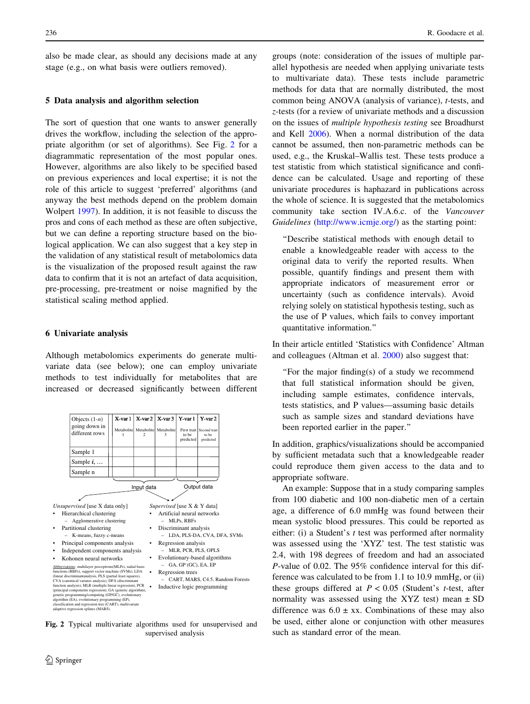also be made clear, as should any decisions made at any stage (e.g., on what basis were outliers removed).

# 5 Data analysis and algorithm selection

The sort of question that one wants to answer generally drives the workflow, including the selection of the appropriate algorithm (or set of algorithms). See Fig. 2 for a diagrammatic representation of the most popular ones. However, algorithms are also likely to be specified based on previous experiences and local expertise; it is not the role of this article to suggest 'preferred' algorithms (and anyway the best methods depend on the problem domain Wolpert [1997\)](#page-10-0). In addition, it is not feasible to discuss the pros and cons of each method as these are often subjective, but we can define a reporting structure based on the biological application. We can also suggest that a key step in the validation of any statistical result of metabolomics data is the visualization of the proposed result against the raw data to confirm that it is not an artefact of data acquisition, pre-processing, pre-treatment or noise magnified by the statistical scaling method applied.

# 6 Univariate analysis

Although metabolomics experiments do generate multivariate data (see below); one can employ univariate methods to test individually for metabolites that are increased or decreased significantly between different



Fig. 2 Typical multivariate algorithms used for unsupervised and supervised analysis

groups (note: consideration of the issues of multiple parallel hypothesis are needed when applying univariate tests to multivariate data). These tests include parametric methods for data that are normally distributed, the most common being ANOVA (analysis of variance), t-tests, and z-tests (for a review of univariate methods and a discussion on the issues of multiple hypothesis testing see Broadhurst and Kell [2006\)](#page-9-0). When a normal distribution of the data cannot be assumed, then non-parametric methods can be used, e.g., the Kruskal–Wallis test. These tests produce a test statistic from which statistical significance and confidence can be calculated. Usage and reporting of these univariate procedures is haphazard in publications across the whole of science. It is suggested that the metabolomics community take section IV.A.6.c. of the Vancouver Guidelines (http://www.icmje.org/) as the starting point:

''Describe statistical methods with enough detail to enable a knowledgeable reader with access to the original data to verify the reported results. When possible, quantify findings and present them with appropriate indicators of measurement error or uncertainty (such as confidence intervals). Avoid relying solely on statistical hypothesis testing, such as the use of P values, which fails to convey important quantitative information.''

In their article entitled 'Statistics with Confidence' Altman and colleagues (Altman et al. [2000\)](#page-9-0) also suggest that:

''For the major finding(s) of a study we recommend that full statistical information should be given, including sample estimates, confidence intervals, tests statistics, and P values—assuming basic details such as sample sizes and standard deviations have been reported earlier in the paper.''

In addition, graphics/visualizations should be accompanied by sufficient metadata such that a knowledgeable reader could reproduce them given access to the data and to appropriate software.

An example: Suppose that in a study comparing samples from 100 diabetic and 100 non-diabetic men of a certain age, a difference of 6.0 mmHg was found between their mean systolic blood pressures. This could be reported as either: (i) a Student's  $t$  test was performed after normality was assessed using the 'XYZ' test. The test statistic was 2.4, with 198 degrees of freedom and had an associated P-value of 0.02. The 95% confidence interval for this difference was calculated to be from 1.1 to 10.9 mmHg, or (ii) these groups differed at  $P < 0.05$  (Student's *t*-test, after normality was assessed using the XYZ test) mean  $\pm$  SD difference was  $6.0 \pm xx$ . Combinations of these may also be used, either alone or conjunction with other measures such as standard error of the mean.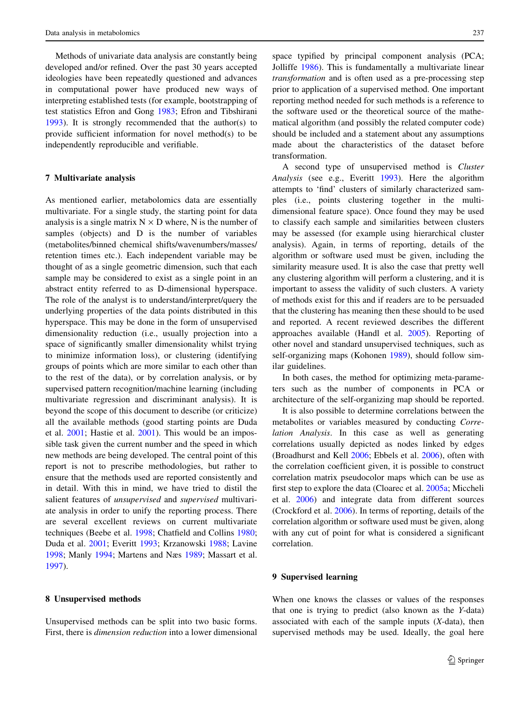Methods of univariate data analysis are constantly being developed and/or refined. Over the past 30 years accepted ideologies have been repeatedly questioned and advances in computational power have produced new ways of interpreting established tests (for example, bootstrapping of test statistics Efron and Gong [1983](#page-9-0); Efron and Tibshirani [1993\)](#page-9-0). It is strongly recommended that the author(s) to provide sufficient information for novel method(s) to be independently reproducible and verifiable.

## 7 Multivariate analysis

As mentioned earlier, metabolomics data are essentially multivariate. For a single study, the starting point for data analysis is a single matrix  $N \times D$  where, N is the number of samples (objects) and D is the number of variables (metabolites/binned chemical shifts/wavenumbers/masses/ retention times etc.). Each independent variable may be thought of as a single geometric dimension, such that each sample may be considered to exist as a single point in an abstract entity referred to as D-dimensional hyperspace. The role of the analyst is to understand/interpret/query the underlying properties of the data points distributed in this hyperspace. This may be done in the form of unsupervised dimensionality reduction (i.e., usually projection into a space of significantly smaller dimensionality whilst trying to minimize information loss), or clustering (identifying groups of points which are more similar to each other than to the rest of the data), or by correlation analysis, or by supervised pattern recognition/machine learning (including multivariate regression and discriminant analysis). It is beyond the scope of this document to describe (or criticize) all the available methods (good starting points are Duda et al. [2001](#page-9-0); Hastie et al. [2001](#page-9-0)). This would be an impossible task given the current number and the speed in which new methods are being developed. The central point of this report is not to prescribe methodologies, but rather to ensure that the methods used are reported consistently and in detail. With this in mind, we have tried to distil the salient features of unsupervised and supervised multivariate analysis in order to unify the reporting process. There are several excellent reviews on current multivariate techniques (Beebe et al. [1998;](#page-9-0) Chatfield and Collins [1980](#page-9-0); Duda et al. [2001;](#page-9-0) Everitt [1993;](#page-9-0) Krzanowski [1988](#page-9-0); Lavine [1998;](#page-9-0) Manly [1994;](#page-10-0) Martens and Næs [1989;](#page-10-0) Massart et al. [1997\)](#page-10-0).

## 8 Unsupervised methods

Unsupervised methods can be split into two basic forms. First, there is dimension reduction into a lower dimensional space typified by principal component analysis (PCA; Jolliffe [1986](#page-9-0)). This is fundamentally a multivariate linear transformation and is often used as a pre-processing step prior to application of a supervised method. One important reporting method needed for such methods is a reference to the software used or the theoretical source of the mathematical algorithm (and possibly the related computer code) should be included and a statement about any assumptions made about the characteristics of the dataset before transformation.

A second type of unsupervised method is Cluster Analysis (see e.g., Everitt [1993](#page-9-0)). Here the algorithm attempts to 'find' clusters of similarly characterized samples (i.e., points clustering together in the multidimensional feature space). Once found they may be used to classify each sample and similarities between clusters may be assessed (for example using hierarchical cluster analysis). Again, in terms of reporting, details of the algorithm or software used must be given, including the similarity measure used. It is also the case that pretty well any clustering algorithm will perform a clustering, and it is important to assess the validity of such clusters. A variety of methods exist for this and if readers are to be persuaded that the clustering has meaning then these should to be used and reported. A recent reviewed describes the different approaches available (Handl et al. [2005\)](#page-9-0). Reporting of other novel and standard unsupervised techniques, such as self-organizing maps (Kohonen [1989\)](#page-9-0), should follow similar guidelines.

In both cases, the method for optimizing meta-parameters such as the number of components in PCA or architecture of the self-organizing map should be reported.

It is also possible to determine correlations between the metabolites or variables measured by conducting Correlation Analysis. In this case as well as generating correlations usually depicted as nodes linked by edges (Broadhurst and Kell [2006;](#page-9-0) Ebbels et al. [2006](#page-9-0)), often with the correlation coefficient given, it is possible to construct correlation matrix pseudocolor maps which can be use as first step to explore the data (Cloarec et al. [2005a](#page-9-0); Miccheli et al. [2006\)](#page-10-0) and integrate data from different sources (Crockford et al. [2006\)](#page-9-0). In terms of reporting, details of the correlation algorithm or software used must be given, along with any cut of point for what is considered a significant correlation.

# 9 Supervised learning

When one knows the classes or values of the responses that one is trying to predict (also known as the Y-data) associated with each of the sample inputs  $(X<sub>-</sub>)$  then supervised methods may be used. Ideally, the goal here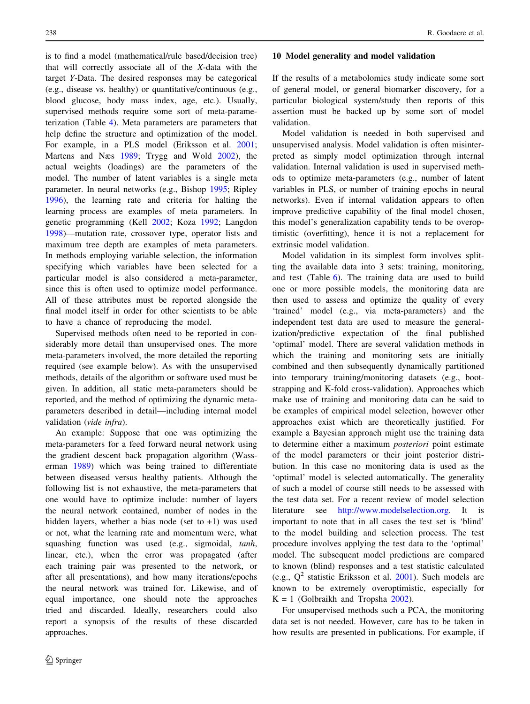is to find a model (mathematical/rule based/decision tree) that will correctly associate all of the X-data with the target Y-Data. The desired responses may be categorical (e.g., disease vs. healthy) or quantitative/continuous (e.g., blood glucose, body mass index, age, etc.). Usually, supervised methods require some sort of meta-parameterization (Table 4). Meta parameters are parameters that help define the structure and optimization of the model. For example, in a PLS model (Eriksson et al. [2001](#page-9-0); Martens and Næs [1989](#page-10-0); Trygg and Wold [2002\)](#page-10-0), the actual weights (loadings) are the parameters of the model. The number of latent variables is a single meta parameter. In neural networks (e.g., Bishop [1995;](#page-9-0) Ripley [1996\)](#page-10-0), the learning rate and criteria for halting the learning process are examples of meta parameters. In genetic programming (Kell [2002](#page-9-0); Koza [1992](#page-9-0); Langdon [1998\)](#page-9-0)—mutation rate, crossover type, operator lists and maximum tree depth are examples of meta parameters. In methods employing variable selection, the information specifying which variables have been selected for a particular model is also considered a meta-parameter, since this is often used to optimize model performance. All of these attributes must be reported alongside the final model itself in order for other scientists to be able to have a chance of reproducing the model.

Supervised methods often need to be reported in considerably more detail than unsupervised ones. The more meta-parameters involved, the more detailed the reporting required (see example below). As with the unsupervised methods, details of the algorithm or software used must be given. In addition, all static meta-parameters should be reported, and the method of optimizing the dynamic metaparameters described in detail—including internal model validation (vide infra).

An example: Suppose that one was optimizing the meta-parameters for a feed forward neural network using the gradient descent back propagation algorithm (Wasserman [1989](#page-10-0)) which was being trained to differentiate between diseased versus healthy patients. Although the following list is not exhaustive, the meta-parameters that one would have to optimize include: number of layers the neural network contained, number of nodes in the hidden layers, whether a bias node (set to  $+1$ ) was used or not, what the learning rate and momentum were, what squashing function was used (e.g., sigmoidal, tanh, linear, etc.), when the error was propagated (after each training pair was presented to the network, or after all presentations), and how many iterations/epochs the neural network was trained for. Likewise, and of equal importance, one should note the approaches tried and discarded. Ideally, researchers could also report a synopsis of the results of these discarded approaches.

#### 10 Model generality and model validation

If the results of a metabolomics study indicate some sort of general model, or general biomarker discovery, for a particular biological system/study then reports of this assertion must be backed up by some sort of model validation.

Model validation is needed in both supervised and unsupervised analysis. Model validation is often misinterpreted as simply model optimization through internal validation. Internal validation is used in supervised methods to optimize meta-parameters (e.g., number of latent variables in PLS, or number of training epochs in neural networks). Even if internal validation appears to often improve predictive capability of the final model chosen, this model's generalization capability tends to be overoptimistic (overfitting), hence it is not a replacement for extrinsic model validation.

Model validation in its simplest form involves splitting the available data into 3 sets: training, monitoring, and test (Table 6). The training data are used to build one or more possible models, the monitoring data are then used to assess and optimize the quality of every 'trained' model (e.g., via meta-parameters) and the independent test data are used to measure the generalization/predictive expectation of the final published 'optimal' model. There are several validation methods in which the training and monitoring sets are initially combined and then subsequently dynamically partitioned into temporary training/monitoring datasets (e.g., bootstrapping and K-fold cross-validation). Approaches which make use of training and monitoring data can be said to be examples of empirical model selection, however other approaches exist which are theoretically justified. For example a Bayesian approach might use the training data to determine either a maximum posteriori point estimate of the model parameters or their joint posterior distribution. In this case no monitoring data is used as the 'optimal' model is selected automatically. The generality of such a model of course still needs to be assessed with the test data set. For a recent review of model selection literature see http://www.modelselection.org. It is important to note that in all cases the test set is 'blind' to the model building and selection process. The test procedure involves applying the test data to the 'optimal' model. The subsequent model predictions are compared to known (blind) responses and a test statistic calculated (e.g.,  $Q^2$  statistic Eriksson et al. [2001\)](#page-9-0). Such models are known to be extremely overoptimistic, especially for  $K = 1$  (Golbraikh and Tropsha [2002\)](#page-9-0).

For unsupervised methods such a PCA, the monitoring data set is not needed. However, care has to be taken in how results are presented in publications. For example, if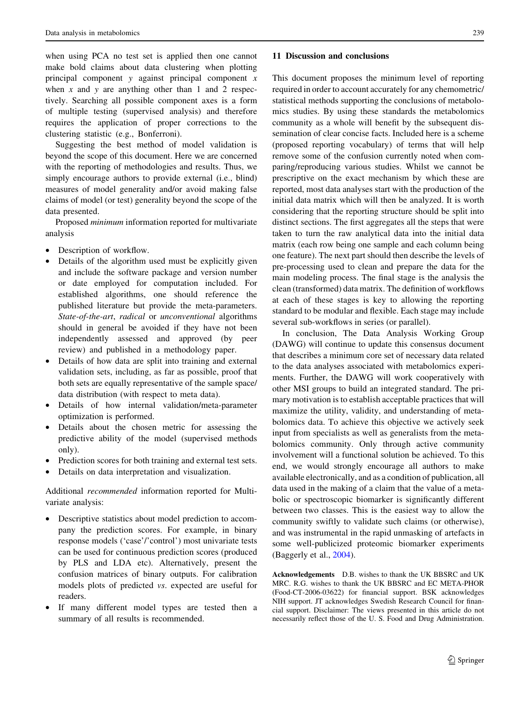when using PCA no test set is applied then one cannot make bold claims about data clustering when plotting principal component y against principal component x when  $x$  and  $y$  are anything other than 1 and 2 respectively. Searching all possible component axes is a form of multiple testing (supervised analysis) and therefore requires the application of proper corrections to the clustering statistic (e.g., Bonferroni).

Suggesting the best method of model validation is beyond the scope of this document. Here we are concerned with the reporting of methodologies and results. Thus, we simply encourage authors to provide external (i.e., blind) measures of model generality and/or avoid making false claims of model (or test) generality beyond the scope of the data presented.

Proposed minimum information reported for multivariate analysis

- Description of workflow.
- Details of the algorithm used must be explicitly given and include the software package and version number or date employed for computation included. For established algorithms, one should reference the published literature but provide the meta-parameters. State-of-the-art, radical or unconventional algorithms should in general be avoided if they have not been independently assessed and approved (by peer review) and published in a methodology paper.
- Details of how data are split into training and external validation sets, including, as far as possible, proof that both sets are equally representative of the sample space/ data distribution (with respect to meta data).
- Details of how internal validation/meta-parameter optimization is performed.
- Details about the chosen metric for assessing the predictive ability of the model (supervised methods only).
- Prediction scores for both training and external test sets.
- Details on data interpretation and visualization.

Additional recommended information reported for Multivariate analysis:

- Descriptive statistics about model prediction to accompany the prediction scores. For example, in binary response models ('case'/'control') most univariate tests can be used for continuous prediction scores (produced by PLS and LDA etc). Alternatively, present the confusion matrices of binary outputs. For calibration models plots of predicted vs. expected are useful for readers.
- If many different model types are tested then a summary of all results is recommended.

#### 11 Discussion and conclusions

This document proposes the minimum level of reporting required in order to account accurately for any chemometric/ statistical methods supporting the conclusions of metabolomics studies. By using these standards the metabolomics community as a whole will benefit by the subsequent dissemination of clear concise facts. Included here is a scheme (proposed reporting vocabulary) of terms that will help remove some of the confusion currently noted when comparing/reproducing various studies. Whilst we cannot be prescriptive on the exact mechanism by which these are reported, most data analyses start with the production of the initial data matrix which will then be analyzed. It is worth considering that the reporting structure should be split into distinct sections. The first aggregates all the steps that were taken to turn the raw analytical data into the initial data matrix (each row being one sample and each column being one feature). The next part should then describe the levels of pre-processing used to clean and prepare the data for the main modeling process. The final stage is the analysis the clean (transformed) data matrix. The definition of workflows at each of these stages is key to allowing the reporting standard to be modular and flexible. Each stage may include several sub-workflows in series (or parallel).

In conclusion, The Data Analysis Working Group (DAWG) will continue to update this consensus document that describes a minimum core set of necessary data related to the data analyses associated with metabolomics experiments. Further, the DAWG will work cooperatively with other MSI groups to build an integrated standard. The primary motivation is to establish acceptable practices that will maximize the utility, validity, and understanding of metabolomics data. To achieve this objective we actively seek input from specialists as well as generalists from the metabolomics community. Only through active community involvement will a functional solution be achieved. To this end, we would strongly encourage all authors to make available electronically, and as a condition of publication, all data used in the making of a claim that the value of a metabolic or spectroscopic biomarker is significantly different between two classes. This is the easiest way to allow the community swiftly to validate such claims (or otherwise), and was instrumental in the rapid unmasking of artefacts in some well-publicized proteomic biomarker experiments (Baggerly et al., [2004](#page-9-0)).

Acknowledgements D.B. wishes to thank the UK BBSRC and UK MRC. R.G. wishes to thank the UK BBSRC and EC META-PHOR (Food-CT-2006-03622) for financial support. BSK acknowledges NIH support. JT acknowledges Swedish Research Council for financial support. Disclaimer: The views presented in this article do not necessarily reflect those of the U. S. Food and Drug Administration.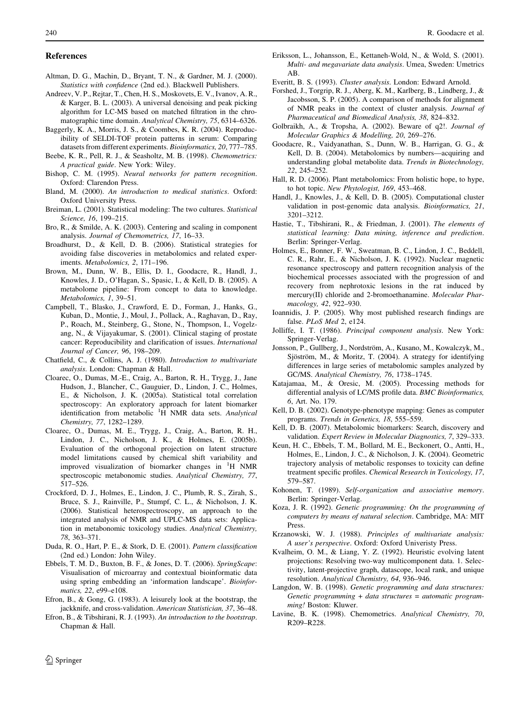#### <span id="page-9-0"></span>References

- Altman, D. G., Machin, D., Bryant, T. N., & Gardner, M. J. (2000). Statistics with confidence (2nd ed.). Blackwell Publishers.
- Andreev, V. P., Rejtar, T., Chen, H. S., Moskovets, E. V., Ivanov, A. R., & Karger, B. L. (2003). A universal denoising and peak picking algorithm for LC-MS based on matched filtration in the chromatographic time domain. Analytical Chemistry, 75, 6314–6326.
- Baggerly, K. A., Morris, J. S., & Coombes, K. R. (2004). Reproducibility of SELDI-TOF protein patterns in serum: Comparing datasets from different experiments. Bioinformatics, 20, 777–785.
- Beebe, K. R., Pell, R. J., & Seasholtz, M. B. (1998). Chemometrics: A practical guide. New York: Wiley.
- Bishop, C. M. (1995). Neural networks for pattern recognition. Oxford: Clarendon Press.
- Bland, M. (2000). An introduction to medical statistics. Oxford: Oxford University Press.
- Breiman, L. (2001). Statistical modeling: The two cultures. Statistical Science, 16, 199–215.
- Bro, R., & Smilde, A. K. (2003). Centering and scaling in component analysis. Journal of Chemometrics, 17, 16–33.
- Broadhurst, D., & Kell, D. B. (2006). Statistical strategies for avoiding false discoveries in metabolomics and related experiments. Metabolomics, 2, 171–196.
- Brown, M., Dunn, W. B., Ellis, D. I., Goodacre, R., Handl, J., Knowles, J. D., O'Hagan, S., Spasic, I., & Kell, D. B. (2005). A metabolome pipeline: From concept to data to knowledge. Metabolomics, 1, 39–51.
- Campbell, T., Blasko, J., Crawford, E. D., Forman, J., Hanks, G., Kuban, D., Montie, J., Moul, J., Pollack, A., Raghavan, D., Ray, P., Roach, M., Steinberg, G., Stone, N., Thompson, I., Vogelzang, N., & Vijayakumar, S. (2001). Clinical staging of prostate cancer: Reproducibility and clarification of issues. International Journal of Cancer, 96, 198–209.
- Chatfield, C., & Collins, A. J. (1980). Introduction to multivariate analysis. London: Chapman & Hall.
- Cloarec, O., Dumas, M.-E., Craig, A., Barton, R. H., Trygg, J., Jane Hudson, J., Blancher, C., Gauguier, D., Lindon, J. C., Holmes, E., & Nicholson, J. K. (2005a). Statistical total correlation spectroscopy: An exploratory approach for latent biomarker identification from metabolic <sup>1</sup>H NMR data sets. Analytical Chemistry, 77, 1282–1289.
- Cloarec, O., Dumas, M. E., Trygg, J., Craig, A., Barton, R. H., Lindon, J. C., Nicholson, J. K., & Holmes, E. (2005b). Evaluation of the orthogonal projection on latent structure model limitations caused by chemical shift variability and improved visualization of biomarker changes in <sup>1</sup> H NMR spectroscopic metabonomic studies. Analytical Chemistry, 77, 517–526.
- Crockford, D. J., Holmes, E., Lindon, J. C., Plumb, R. S., Zirah, S., Bruce, S. J., Rainville, P., Stumpf, C. L., & Nicholson, J. K. (2006). Statistical heterospectroscopy, an approach to the integrated analysis of NMR and UPLC-MS data sets: Application in metabonomic toxicology studies. Analytical Chemistry, 78, 363–371.
- Duda, R. O., Hart, P. E., & Stork, D. E. (2001). Pattern classification (2nd ed.) London: John Wiley.
- Ebbels, T. M. D., Buxton, B. F., & Jones, D. T. (2006). SpringScape: Visualisation of microarray and contextual bioinformatic data using spring embedding an 'information landscape'. Bioinformatics, 22, e99–e108.
- Efron, B., & Gong, G. (1983). A leisurely look at the bootstrap, the jackknife, and cross-validation. American Statistician, 37, 36–48.
- Efron, B., & Tibshirani, R. J. (1993). An introduction to the bootstrap. Chapman & Hall.
- Eriksson, L., Johansson, E., Kettaneh-Wold, N., & Wold, S. (2001). Multi- and megavariate data analysis. Umea, Sweden: Umetrics AB.
- Everitt, B. S. (1993). Cluster analysis. London: Edward Arnold.
- Forshed, J., Torgrip, R. J., Aberg, K. M., Karlberg, B., Lindberg, J., & Jacobsson, S. P. (2005). A comparison of methods for alignment of NMR peaks in the context of cluster analysis. Journal of Pharmaceutical and Biomedical Analysis, 38, 824–832.
- Golbraikh, A., & Tropsha, A. (2002). Beware of q2!. Journal of Molecular Graphics & Modelling, 20, 269–276.
- Goodacre, R., Vaidyanathan, S., Dunn, W. B., Harrigan, G. G., & Kell, D. B. (2004). Metabolomics by numbers—acquiring and understanding global metabolite data. Trends in Biotechnology, 22, 245–252.
- Hall, R. D. (2006). Plant metabolomics: From holistic hope, to hype, to hot topic. New Phytologist, 169, 453–468.
- Handl, J., Knowles, J., & Kell, D. B. (2005). Computational cluster validation in post-genomic data analysis. Bioinformatics, 21, 3201–3212.
- Hastie, T., Tibshirani, R., & Friedman, J. (2001). The elements of statistical learning: Data mining, inference and prediction. Berlin: Springer-Verlag.
- Holmes, E., Bonner, F. W., Sweatman, B. C., Lindon, J. C., Beddell, C. R., Rahr, E., & Nicholson, J. K. (1992). Nuclear magnetic resonance spectroscopy and pattern recognition analysis of the biochemical processes associated with the progression of and recovery from nephrotoxic lesions in the rat induced by mercury(II) chloride and 2-bromoethanamine. Molecular Pharmacology, 42, 922–930.
- Ioannidis, J. P. (2005). Why most published research findings are false. PLoS Med 2, e124.
- Jolliffe, I. T. (1986). Principal component analysis. New York: Springer-Verlag.
- Jonsson, P., Gullberg, J., Nordström, A., Kusano, M., Kowalczyk, M., Sjöström, M., & Moritz, T. (2004). A strategy for identifying differences in large series of metabolomic samples analyzed by GC/MS. Analytical Chemistry, 76, 1738–1745.
- Katajamaa, M., & Oresic, M. (2005). Processing methods for differential analysis of LC/MS profile data. BMC Bioinformatics, 6, Art. No. 179.
- Kell, D. B. (2002). Genotype-phenotype mapping: Genes as computer programs. Trends in Genetics, 18, 555–559.
- Kell, D. B. (2007). Metabolomic biomarkers: Search, discovery and validation. Expert Review in Molecular Diagnostics, 7, 329–333.
- Keun, H. C., Ebbels, T. M., Bollard, M. E., Beckonert, O., Antti, H., Holmes, E., Lindon, J. C., & Nicholson, J. K. (2004). Geometric trajectory analysis of metabolic responses to toxicity can define treatment specific profiles. Chemical Research in Toxicology, 17, 579–587.
- Kohonen, T. (1989). Self-organization and associative memory. Berlin: Springer-Verlag.
- Koza, J. R. (1992). Genetic programming: On the programming of computers by means of natural selection. Cambridge, MA: MIT Press.
- Krzanowski, W. J. (1988). Principles of multivariate analysis: A user's perspective. Oxford: Oxford Univeristy Press.
- Kvalheim, O. M., & Liang, Y. Z. (1992). Heuristic evolving latent projections: Resolving two-way multicomponent data. 1. Selectivity, latent-projective graph, datascope, local rank, and unique resolution. Analytical Chemistry, 64, 936–946.
- Langdon, W. B. (1998). Genetic programming and data structures: Genetic programming  $+$  data structures  $=$  automatic programming! Boston: Kluwer.
- Lavine, B. K. (1998). Chemometrics. Analytical Chemistry, 70, R209–R228.